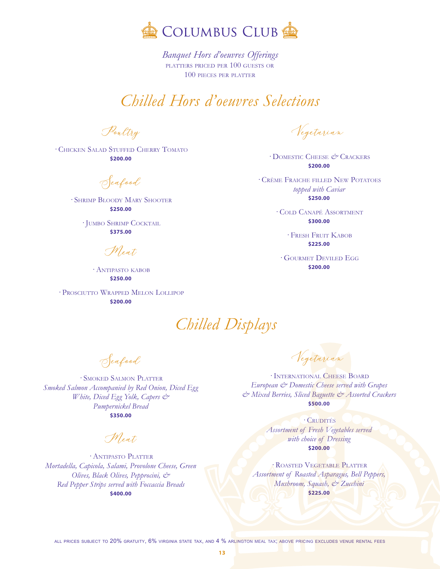

*<sup>B</sup>anquet Hors d'oeuvres Offerings* platters priced per 100 guests or 100 pieces per platter

# *Chilled Hors d'oeuvres Selections*

Poultry

· Chicken Salad Stuffed Cherry Tomato **\$200.00**

Seafood

· Shrimp Bloody Mary Shooter **\$250.00**

· Jumbo Shrimp Cocktail **\$375.00**

Meat

· Antipasto kabob **\$250.00**

· Prosciutto Wrapped Melon Lollipop **\$200.00**

Vegetarian

· Domestic Cheese *&* Crackers **\$200.00**

· Crème Fraiche filled New Potatoes *topped with Caviar* **\$250.00**

> · Cold Canapé Assortment **\$300.00**

> > · Fresh Fruit Kabob **\$225.00**

· Gourmet Deviled Egg **\$200.00**

*Chilled Displays*

Seafood

· Smoked Salmon Platter *Smoked Salmon Accompanied by Red Onion, Diced Egg White, Diced Egg Yolk, Capers & Pumpernickel Bread* **\$350.00**

Meat,

· Antipasto Platter *Mortadella, Capicola, Salami, Provolone Cheese, Green Olives, Black Olives, Pepprocini, & Red Pepper Strips served with Foccaccia Breads* **\$400.00**

Vegetarian

· International Cheese Board *European & Domestic Cheese served with Grapes & Mixed Berries, Sliced Baguette & Assorted Crackers* **\$500.00**

· Crudités *Assortment of Fresh Vegetables served with choice of Dressing* **\$200.00**

· Roasted Vegetable Platter *Assortment of Roasted Asparagus, Bell Peppers, Mushroom, Squash, & Zucchini* **\$225.00**

all prices subject to 20% gratuity, 6% virginia state tax, and 4 % arlington meal tax; above pricing excludes venue rental fees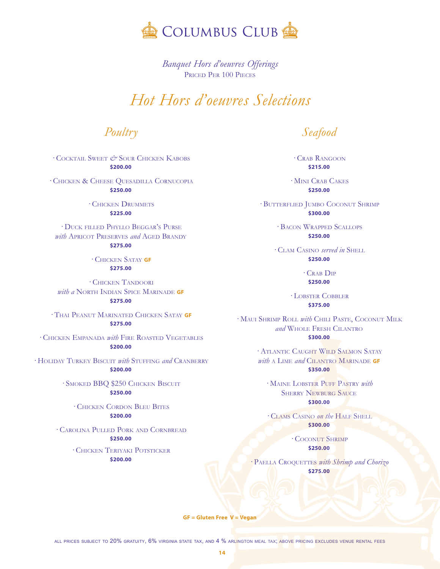

*<sup>B</sup>anquet Hors d'oeuvres Offerings* Priced Per 100 Pieces

#### *<sup>H</sup>ot Hors d'oeuvres Selections*

*<sup>P</sup>oultry*

· Cocktail Sweet *&* Sour Chicken Kabobs **\$200.00**

· Chicken & Cheese Quesadilla Cornucopia **\$250.00**

> · Chicken Drummets **\$225.00**

· Duck filled Phyllo Beggar's Purse *with* APRICOT PRESERVES *and* AGED BRANDY **\$275.00**

> · Chicken Satay **GF \$275.00**

· Chicken Tandoori *with a* North Indian Spice Marinade **GF \$275.00**

· Thai Peanut Marinated Chicken Satay **GF \$275.00**

· Chicken Empanada *with* Fire Roasted Vegetables **\$200.00**

· Holiday Turkey Biscuit *with* Stuffing *and* Cranberry **\$200.00**

> · Smoked BBQ \$250 Chicken Biscuit **\$250.00**

· Chicken Cordon Bleu Bites **\$200.00**

· Carolina Pulled Pork and Cornbread **\$250.00**

> · Chicken Teriyaki Potsticker **\$200.00**

*<sup>S</sup>eafood*

· Crab Rangoon **\$215.00**

· Mini Crab Cakes **\$250.00**

· Butterflied Jumbo Coconut Shrimp **\$300.00**

> · Bacon Wrapped Scallops **\$250.00**

· Clam Casino *served in* Shell **\$250.00**

> · Crab Dip **\$250.00**

· Lobster Cobbler **\$375.00**

· Maui Shrimp Roll *with* Chili Paste, Coconut Milk *and* Whole Fresh Cilantro **\$300.00**

> · Atlantic Caught Wild Salmon Satay *with* <sup>a</sup> Lime *and* Cilantro Marinade **GF \$350.00**

· Maine Lobster Puff Pastry *with* Sherry Newburg Sauce **\$300.00**

· Clams Casino *on the* Half Shell **\$300.00**

> · Coconut Shrimp **\$250.00**

· Paella Croquettes *with Shrimp and Chorizo* **\$275.00**

**GF = Gluten Free V = Vegan**

**14**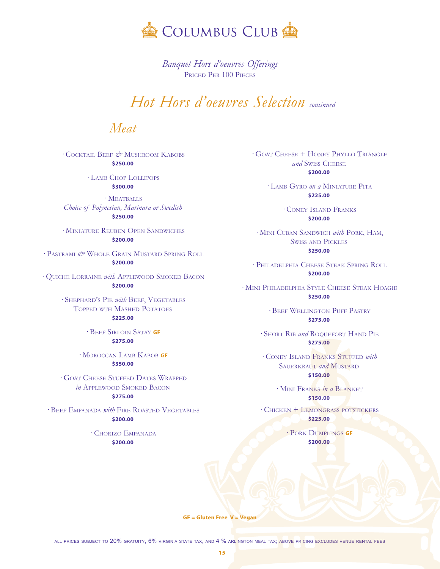

*<sup>B</sup>anquet Hors d'oeuvres Offerings* Priced Per 100 Pieces

# *<sup>H</sup>ot Hors d'oeuvres Selection continued*

*<sup>M</sup>eat*

· Cocktail Beef *&* Mushroom Kabobs **\$250.00**

> · Lamb Chop Lollipops **\$300.00**

 $\cdot$  MEATBALLS *Choice of Polynesian, Marinara or Swedish* **\$250.00**

· Miniature Reuben Open Sandwiches **\$200.00**

· Pastrami *&* Whole Grain Mustard Spring Roll **\$200.00**

· Quiche Lorraine *with* Applewood Smoked Bacon **\$200.00**

> · Shephard's Pie *with* Beef, Vegetables Topped wth Mashed Potatoes **\$225.00**

> > · Beef Sirloin Satay **GF**

**\$275.00**

· Moroccan Lamb Kabob **GF \$350.00**

· Goat Cheese Stuffed Dates Wrapped *in* Applewood Smoked Bacon **\$275.00**

· Beef Empanada *with* Fire Roasted Vegetables **\$200.00**

> · Chorizo Empanada **\$200.00**

· Goat Cheese + Honey Phyllo Triangle and Swiss CHEESE **\$200.00**

> · Lamb Gyro *on a* Miniature Pita **\$225.00**

> > · Coney Island Franks **\$200.00**

· Mini Cuban Sandwich *with* Pork, Ham, Swiss and Pickles **\$250.00**

· Philadelphia Cheese Steak Spring Roll **\$200.00**

· Mini Philadelphia Style Cheese Steak Hoagie **\$250.00**

> · Beef Wellington Puff Pastry **\$275.00**

· Short Rib *and* Roquefort Hand Pie **\$275.00**

· Coney Island Franks Stuffed *with* Sauerkraut *and* Mustard **\$150.00**

> · Mini Franks *in a* Blanket **\$150.00**

· Chicken + Lemongrass potstickers **\$225.00**

> · Pork Dumplings **GF \$200.00**

**GF = Gluten Free V = Vegan**